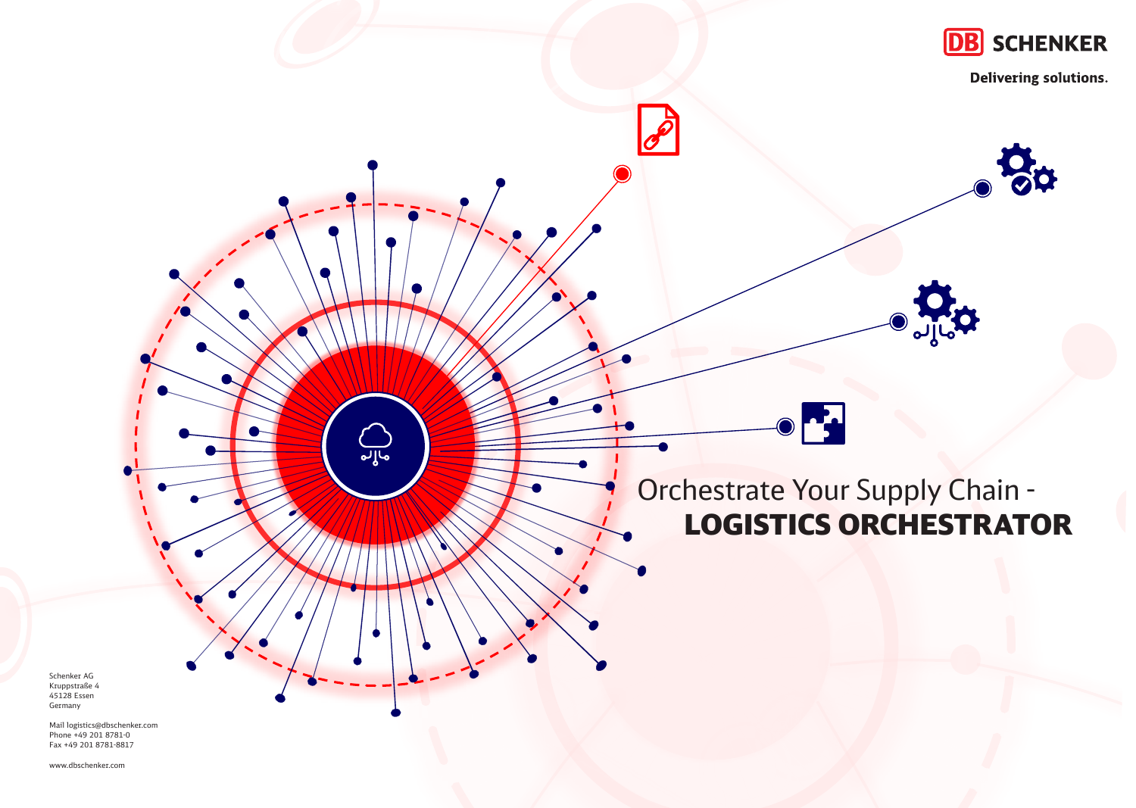

www.dbschenker.com



## Delivering solutions.